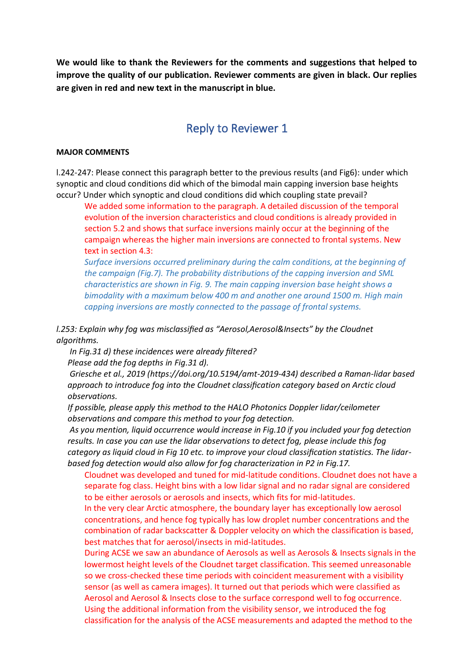**We would like to thank the Reviewers for the comments and suggestions that helped to improve the quality of our publication. Reviewer comments are given in black. Our replies are given in red and new text in the manuscript in blue.** 

## Reply to Reviewer 1

#### **MAJOR COMMENTS**

l.242-247: Please connect this paragraph better to the previous results (and Fig6): under which synoptic and cloud conditions did which of the bimodal main capping inversion base heights occur? Under which synoptic and cloud conditions did which coupling state prevail?

We added some information to the paragraph. A detailed discussion of the temporal evolution of the inversion characteristics and cloud conditions is already provided in section 5.2 and shows that surface inversions mainly occur at the beginning of the campaign whereas the higher main inversions are connected to frontal systems. New text in section 4.3:

*Surface inversions occurred preliminary during the calm conditions, at the beginning of the campaign (Fig.7). The probability distributions of the capping inversion and SML characteristics are shown in Fig. 9. The main capping inversion base height shows a bimodality with a maximum below 400 m and another one around 1500 m. High main capping inversions are mostly connected to the passage of frontal systems.*

*l.253: Explain why fog was misclassified as "Aerosol,Aerosol&Insects" by the Cloudnet algorithms.*

*In Fig.31 d) these incidences were already filtered?* 

*Please add the fog depths in Fig.31 d).*

*Griesche et al., 2019 (https://doi.org/10.5194/amt-2019-434) described a Raman-lidar based approach to introduce fog into the Cloudnet classification category based on Arctic cloud observations.*

*If possible, please apply this method to the HALO Photonics Doppler lidar/ceilometer observations and compare this method to your fog detection.*

*As you mention, liquid occurrence would increase in Fig.10 if you included your fog detection results. In case you can use the lidar observations to detect fog, please include this fog category as liquid cloud in Fig 10 etc. to improve your cloud classification statistics. The lidarbased fog detection would also allow for fog characterization in P2 in Fig.17.*

Cloudnet was developed and tuned for mid-latitude conditions. Cloudnet does not have a separate fog class. Height bins with a low lidar signal and no radar signal are considered to be either aerosols or aerosols and insects, which fits for mid-latitudes.

In the very clear Arctic atmosphere, the boundary layer has exceptionally low aerosol concentrations, and hence fog typically has low droplet number concentrations and the combination of radar backscatter & Doppler velocity on which the classification is based, best matches that for aerosol/insects in mid-latitudes.

During ACSE we saw an abundance of Aerosols as well as Aerosols & Insects signals in the lowermost height levels of the Cloudnet target classification. This seemed unreasonable so we cross-checked these time periods with coincident measurement with a visibility sensor (as well as camera images). It turned out that periods which were classified as Aerosol and Aerosol & Insects close to the surface correspond well to fog occurrence. Using the additional information from the visibility sensor, we introduced the fog classification for the analysis of the ACSE measurements and adapted the method to the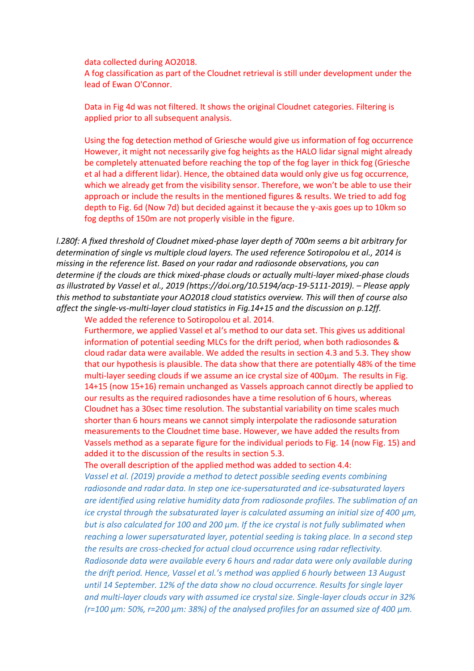data collected during AO2018.

A fog classification as part of the Cloudnet retrieval is still under development under the lead of Ewan O'Connor.

Data in Fig 4d was not filtered. It shows the original Cloudnet categories. Filtering is applied prior to all subsequent analysis.

Using the fog detection method of Griesche would give us information of fog occurrence However, it might not necessarily give fog heights as the HALO lidar signal might already be completely attenuated before reaching the top of the fog layer in thick fog (Griesche et al had a different lidar). Hence, the obtained data would only give us fog occurrence, which we already get from the visibility sensor. Therefore, we won't be able to use their approach or include the results in the mentioned figures & results. We tried to add fog depth to Fig. 6d (Now 7d) but decided against it because the y-axis goes up to 10km so fog depths of 150m are not properly visible in the figure.

*l.280f: A fixed threshold of Cloudnet mixed-phase layer depth of 700m seems a bit arbitrary for determination of single vs multiple cloud layers. The used reference Sotiropolou et al., 2014 is missing in the reference list. Based on your radar and radiosonde observations, you can determine if the clouds are thick mixed-phase clouds or actually multi-layer mixed-phase clouds as illustrated by Vassel et al., 2019 (https://doi.org/10.5194/acp-19-5111-2019). – Please apply this method to substantiate your AO2018 cloud statistics overview. This will then of course also affect the single-vs-multi-layer cloud statistics in Fig.14+15 and the discussion on p.12ff.*

We added the reference to Sotiropolou et al. 2014.

Furthermore, we applied Vassel et al's method to our data set. This gives us additional information of potential seeding MLCs for the drift period, when both radiosondes & cloud radar data were available. We added the results in section 4.3 and 5.3. They show that our hypothesis is plausible. The data show that there are potentially 48% of the time multi-layer seeding clouds if we assume an ice crystal size of 400μm. The results in Fig. 14+15 (now 15+16) remain unchanged as Vassels approach cannot directly be applied to our results as the required radiosondes have a time resolution of 6 hours, whereas Cloudnet has a 30sec time resolution. The substantial variability on time scales much shorter than 6 hours means we cannot simply interpolate the radiosonde saturation measurements to the Cloudnet time base. However, we have added the results from Vassels method as a separate figure for the individual periods to Fig. 14 (now Fig. 15) and added it to the discussion of the results in section 5.3.

The overall description of the applied method was added to section 4.4:

*Vassel et al. (2019) provide a method to detect possible seeding events combining radiosonde and radar data. In step one ice-supersaturated and ice-subsaturated layers are identified using relative humidity data from radiosonde profiles. The sublimation of an ice crystal through the subsaturated layer is calculated assuming an initial size of 400 μm, but is also calculated for 100 and 200 μm. If the ice crystal is not fully sublimated when reaching a lower supersaturated layer, potential seeding is taking place. In a second step the results are cross-checked for actual cloud occurrence using radar reflectivity. Radiosonde data were available every 6 hours and radar data were only available during the drift period. Hence, Vassel et al.'s method was applied 6 hourly between 13 August until 14 September. 12% of the data show no cloud occurrence. Results for single layer and multi-layer clouds vary with assumed ice crystal size. Single-layer clouds occur in 32% (r=100 μm: 50%, r=200 μm: 38%) of the analysed profiles for an assumed size of 400 μm.*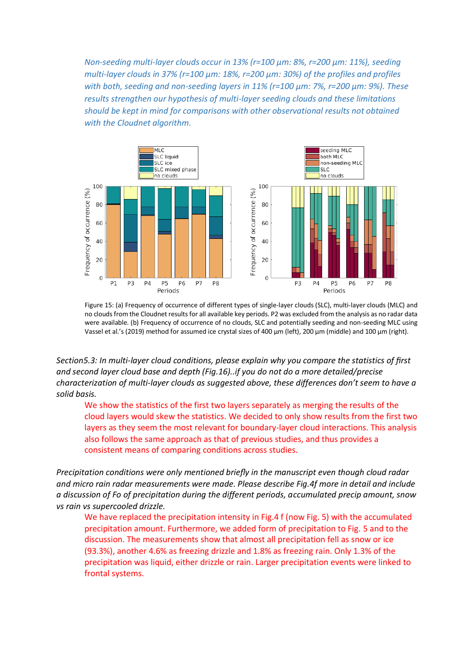*Non-seeding multi-layer clouds occur in 13% (r=100 μm: 8%, r=200 μm: 11%), seeding multi-layer clouds in 37% (r=100 μm: 18%, r=200 μm: 30%) of the profiles and profiles with both, seeding and non-seeding layers in 11% (r=100 μm: 7%, r=200 μm: 9%). These results strengthen our hypothesis of multi-layer seeding clouds and these limitations should be kept in mind for comparisons with other observational results not obtained with the Cloudnet algorithm.*



Figure 15: (a) Frequency of occurrence of different types of single-layer clouds (SLC), multi-layer clouds (MLC) and no clouds from the Cloudnet results for all available key periods. P2 was excluded from the analysis as no radar data were available. (b) Frequency of occurrence of no clouds, SLC and potentially seeding and non-seeding MLC using Vassel et al.'s (2019) method for assumed ice crystal sizes of 400 μm (left), 200 μm (middle) and 100 μm (right).

*Section5.3: In multi-layer cloud conditions, please explain why you compare the statistics of first and second layer cloud base and depth (Fig.16)..if you do not do a more detailed/precise characterization of multi-layer clouds as suggested above, these differences don't seem to have a solid basis.* 

We show the statistics of the first two layers separately as merging the results of the cloud layers would skew the statistics. We decided to only show results from the first two layers as they seem the most relevant for boundary-layer cloud interactions. This analysis also follows the same approach as that of previous studies, and thus provides a consistent means of comparing conditions across studies.

*Precipitation conditions were only mentioned briefly in the manuscript even though cloud radar and micro rain radar measurements were made. Please describe Fig.4f more in detail and include a discussion of Fo of precipitation during the different periods, accumulated precip amount, snow vs rain vs supercooled drizzle.*

We have replaced the precipitation intensity in Fig.4 f (now Fig. 5) with the accumulated precipitation amount. Furthermore, we added form of precipitation to Fig. 5 and to the discussion. The measurements show that almost all precipitation fell as snow or ice (93.3%), another 4.6% as freezing drizzle and 1.8% as freezing rain. Only 1.3% of the precipitation was liquid, either drizzle or rain. Larger precipitation events were linked to frontal systems.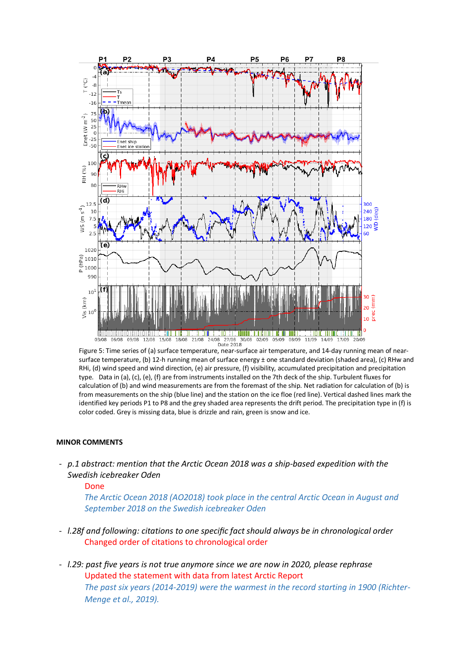

Figure 5: Time series of (a) surface temperature, near-surface air temperature, and 14-day running mean of nearsurface temperature, (b) 12-h running mean of surface energy ± one standard deviation (shaded area), (c) RHw and RHi, (d) wind speed and wind direction, (e) air pressure, (f) visibility, accumulated precipitation and precipitation type. Data in (a), (c), (e), (f) are from instruments installed on the 7th deck of the ship. Turbulent fluxes for calculation of (b) and wind measurements are from the foremast of the ship. Net radiation for calculation of (b) is from measurements on the ship (blue line) and the station on the ice floe (red line). Vertical dashed lines mark the identified key periods P1 to P8 and the grey shaded area represents the drift period. The precipitation type in (f) is color coded. Grey is missing data, blue is drizzle and rain, green is snow and ice.

#### **MINOR COMMENTS**

- *p.1 abstract: mention that the Arctic Ocean 2018 was a ship-based expedition with the Swedish icebreaker Oden* 

Done

*The Arctic Ocean 2018 (AO2018) took place in the central Arctic Ocean in August and September 2018 on the Swedish icebreaker Oden*

- *l.28f and following: citations to one specific fact should always be in chronological order*  Changed order of citations to chronological order
- *l.29: past five years is not true anymore since we are now in 2020, please rephrase* Updated the statement with data from latest Arctic Report *The past six years (2014-2019) were the warmest in the record starting in 1900 (Richter-Menge et al., 2019).*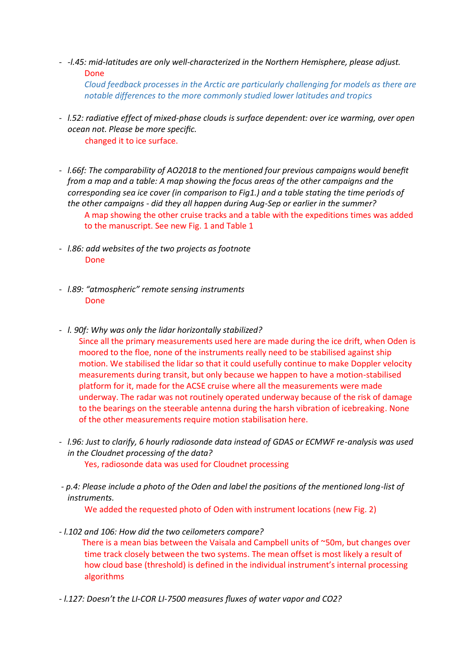- *-l.45: mid-latitudes are only well-characterized in the Northern Hemisphere, please adjust.*  Done *Cloud feedback processes in the Arctic are particularly challenging for models as there are notable differences to the more commonly studied lower latitudes and tropics*
- *l.52: radiative effect of mixed-phase clouds is surface dependent: over ice warming, over open ocean not. Please be more specific.* changed it to ice surface.
- *l.66f: The comparability of AO2018 to the mentioned four previous campaigns would benefit from a map and a table: A map showing the focus areas of the other campaigns and the corresponding sea ice cover (in comparison to Fig1.) and a table stating the time periods of the other campaigns - did they all happen during Aug-Sep or earlier in the summer?*  A map showing the other cruise tracks and a table with the expeditions times was added to the manuscript. See new Fig. 1 and Table 1
- *l.86: add websites of the two projects as footnote*  Done
- *l.89: "atmospheric" remote sensing instruments*  Done
- *l. 90f: Why was only the lidar horizontally stabilized?*  Since all the primary measurements used here are made during the ice drift, when Oden is moored to the floe, none of the instruments really need to be stabilised against ship motion. We stabilised the lidar so that it could usefully continue to make Doppler velocity measurements during transit, but only because we happen to have a motion-stabilised platform for it, made for the ACSE cruise where all the measurements were made underway. The radar was not routinely operated underway because of the risk of damage to the bearings on the steerable antenna during the harsh vibration of icebreaking. None of the other measurements require motion stabilisation here.
- *l.96: Just to clarify, 6 hourly radiosonde data instead of GDAS or ECMWF re-analysis was used in the Cloudnet processing of the data?* Yes, radiosonde data was used for Cloudnet processing
- *- p.4: Please include a photo of the Oden and label the positions of the mentioned long-list of instruments.*

We added the requested photo of Oden with instrument locations (new Fig. 2)

*- l.102 and 106: How did the two ceilometers compare?*

 There is a mean bias between the Vaisala and Campbell units of ~50m, but changes over time track closely between the two systems. The mean offset is most likely a result of how cloud base (threshold) is defined in the individual instrument's internal processing algorithms

*- l.127: Doesn't the LI-COR LI-7500 measures fluxes of water vapor and CO2?*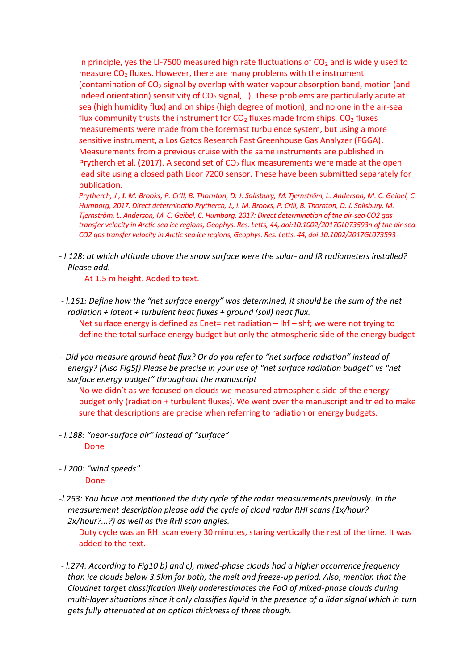In principle, yes the LI-7500 measured high rate fluctuations of  $CO<sub>2</sub>$  and is widely used to measure  $CO<sub>2</sub>$  fluxes. However, there are many problems with the instrument (contamination of  $CO<sub>2</sub>$  signal by overlap with water vapour absorption band, motion (and indeed orientation) sensitivity of  $CO<sub>2</sub>$  signal,...). These problems are particularly acute at sea (high humidity flux) and on ships (high degree of motion), and no one in the air-sea flux community trusts the instrument for CO<sub>2</sub> fluxes made from ships. CO<sub>2</sub> fluxes measurements were made from the foremast turbulence system, but using a more sensitive instrument, a Los Gatos Research Fast Greenhouse Gas Analyzer (FGGA). Measurements from a previous cruise with the same instruments are published in Prytherch et al. (2017). A second set of  $CO<sub>2</sub>$  flux measurements were made at the open lead site using a closed path Licor 7200 sensor. These have been submitted separately for publication.

*Prytherch, J., I. M. Brooks, P. Crill, B. Thornton, D. J. Salisbury, M. Tjernström, L. Anderson, M. C. Geibel, C. Humborg, 2017: Direct determinatio Prytherch, J., I. M. Brooks, P. Crill, B. Thornton, D. J. Salisbury, M. Tjernström, L. Anderson, M. C. Geibel, C. Humborg, 2017: Direct determination of the air-sea CO2 gas transfer velocity in Arctic sea ice regions, Geophys. Res. Letts, 44, doi:10.1002/2017GL073593n of the air-sea CO2 gas transfer velocity in Arctic sea ice regions, Geophys. Res. Letts, 44, doi:10.1002/2017GL073593*

*- l.128: at which altitude above the snow surface were the solar- and IR radiometers installed? Please add.*

At 1.5 m height. Added to text.

- *- l.161: Define how the "net surface energy" was determined, it should be the sum of the net radiation + latent + turbulent heat fluxes + ground (soil) heat flux.*  Net surface energy is defined as Enet= net radiation  $-$  lhf  $-$  shf; we were not trying to define the total surface energy budget but only the atmospheric side of the energy budget
- *– Did you measure ground heat flux? Or do you refer to "net surface radiation" instead of energy? (Also Fig5f) Please be precise in your use of "net surface radiation budget" vs "net surface energy budget" throughout the manuscript*

No we didn't as we focused on clouds we measured atmospheric side of the energy budget only (radiation + turbulent fluxes). We went over the manuscript and tried to make sure that descriptions are precise when referring to radiation or energy budgets.

- *- l.188: "near-surface air" instead of "surface"*  Done
- *- l.200: "wind speeds"*

Done

*-l.253: You have not mentioned the duty cycle of the radar measurements previously. In the measurement description please add the cycle of cloud radar RHI scans (1x/hour? 2x/hour?...?) as well as the RHI scan angles.*

Duty cycle was an RHI scan every 30 minutes, staring vertically the rest of the time. It was added to the text.

*- l.274: According to Fig10 b) and c), mixed-phase clouds had a higher occurrence frequency than ice clouds below 3.5km for both, the melt and freeze-up period. Also, mention that the Cloudnet target classification likely underestimates the FoO of mixed-phase clouds during multi-layer situations since it only classifies liquid in the presence of a lidar signal which in turn gets fully attenuated at an optical thickness of three though.*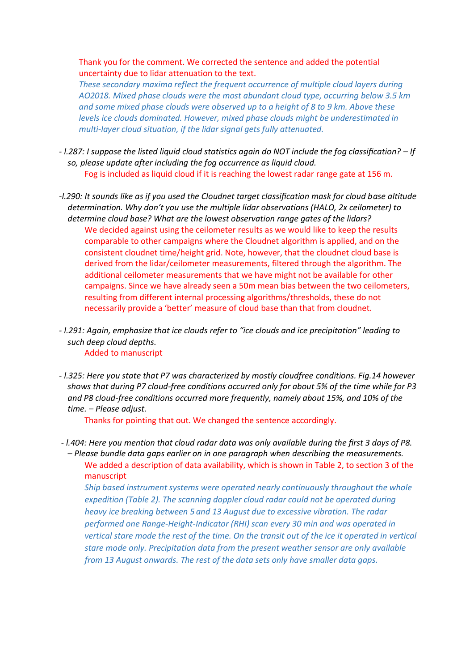Thank you for the comment. We corrected the sentence and added the potential uncertainty due to lidar attenuation to the text.

*These secondary maxima reflect the frequent occurrence of multiple cloud layers during AO2018. Mixed phase clouds were the most abundant cloud type, occurring below 3.5 km and some mixed phase clouds were observed up to a height of 8 to 9 km. Above these levels ice clouds dominated. However, mixed phase clouds might be underestimated in multi-layer cloud situation, if the lidar signal gets fully attenuated.* 

- *- l.287: I suppose the listed liquid cloud statistics again do NOT include the fog classification? – If so, please update after including the fog occurrence as liquid cloud.*  Fog is included as liquid cloud if it is reaching the lowest radar range gate at 156 m.
- *-l.290: It sounds like as if you used the Cloudnet target classification mask for cloud base altitude determination. Why don't you use the multiple lidar observations (HALO, 2x ceilometer) to determine cloud base? What are the lowest observation range gates of the lidars?*  We decided against using the ceilometer results as we would like to keep the results comparable to other campaigns where the Cloudnet algorithm is applied, and on the consistent cloudnet time/height grid. Note, however, that the cloudnet cloud base is derived from the lidar/ceilometer measurements, filtered through the algorithm. The additional ceilometer measurements that we have might not be available for other campaigns. Since we have already seen a 50m mean bias between the two ceilometers, resulting from different internal processing algorithms/thresholds, these do not necessarily provide a 'better' measure of cloud base than that from cloudnet.
- *- l.291: Again, emphasize that ice clouds refer to "ice clouds and ice precipitation" leading to such deep cloud depths.*  Added to manuscript
- *- l.325: Here you state that P7 was characterized by mostly cloudfree conditions. Fig.14 however shows that during P7 cloud-free conditions occurred only for about 5% of the time while for P3 and P8 cloud-free conditions occurred more frequently, namely about 15%, and 10% of the time. – Please adjust.*

Thanks for pointing that out. We changed the sentence accordingly.

*- l.404: Here you mention that cloud radar data was only available during the first 3 days of P8. – Please bundle data gaps earlier on in one paragraph when describing the measurements.* We added a description of data availability, which is shown in Table 2, to section 3 of the manuscript

*Ship based instrument systems were operated nearly continuously throughout the whole expedition (Table 2). The scanning doppler cloud radar could not be operated during heavy ice breaking between 5 and 13 August due to excessive vibration. The radar performed one Range-Height-Indicator (RHI) scan every 30 min and was operated in vertical stare mode the rest of the time. On the transit out of the ice it operated in vertical stare mode only. Precipitation data from the present weather sensor are only available from 13 August onwards. The rest of the data sets only have smaller data gaps.*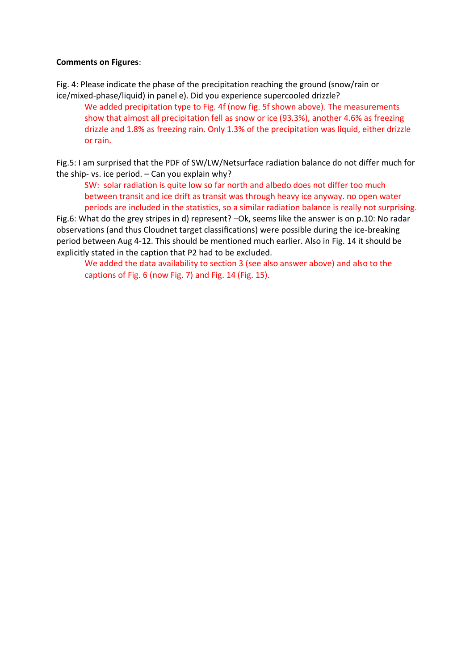### **Comments on Figures**:

Fig. 4: Please indicate the phase of the precipitation reaching the ground (snow/rain or ice/mixed-phase/liquid) in panel e). Did you experience supercooled drizzle?

We added precipitation type to Fig. 4f (now fig. 5f shown above). The measurements show that almost all precipitation fell as snow or ice (93.3%), another 4.6% as freezing drizzle and 1.8% as freezing rain. Only 1.3% of the precipitation was liquid, either drizzle or rain.

Fig.5: I am surprised that the PDF of SW/LW/Netsurface radiation balance do not differ much for the ship- vs. ice period. – Can you explain why?

SW: solar radiation is quite low so far north and albedo does not differ too much between transit and ice drift as transit was through heavy ice anyway. no open water periods are included in the statistics, so a similar radiation balance is really not surprising.

Fig.6: What do the grey stripes in d) represent? –Ok, seems like the answer is on p.10: No radar observations (and thus Cloudnet target classifications) were possible during the ice-breaking period between Aug 4-12. This should be mentioned much earlier. Also in Fig. 14 it should be explicitly stated in the caption that P2 had to be excluded.

We added the data availability to section 3 (see also answer above) and also to the captions of Fig. 6 (now Fig. 7) and Fig. 14 (Fig. 15).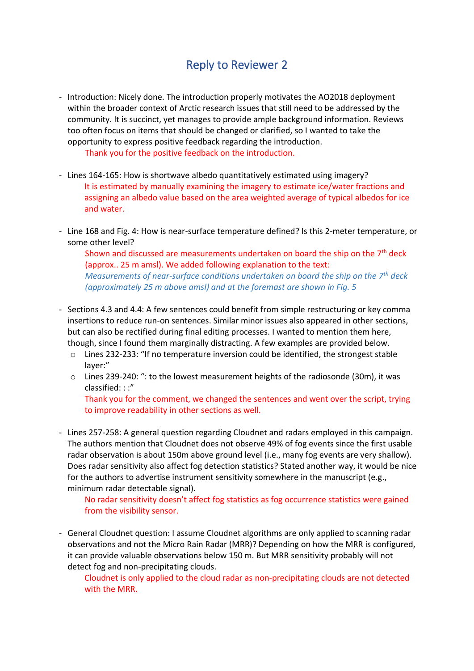# Reply to Reviewer 2

- Introduction: Nicely done. The introduction properly motivates the AO2018 deployment within the broader context of Arctic research issues that still need to be addressed by the community. It is succinct, yet manages to provide ample background information. Reviews too often focus on items that should be changed or clarified, so I wanted to take the opportunity to express positive feedback regarding the introduction.

Thank you for the positive feedback on the introduction.

- Lines 164-165: How is shortwave albedo quantitatively estimated using imagery? It is estimated by manually examining the imagery to estimate ice/water fractions and assigning an albedo value based on the area weighted average of typical albedos for ice and water.
- Line 168 and Fig. 4: How is near-surface temperature defined? Is this 2-meter temperature, or some other level?

Shown and discussed are measurements undertaken on board the ship on the  $7<sup>th</sup>$  deck (approx.. 25 m amsl). We added following explanation to the text: *Measurements of near-surface conditions undertaken on board the ship on the 7th deck (approximately 25 m above amsl) and at the foremast are shown in Fig. 5*

- Sections 4.3 and 4.4: A few sentences could benefit from simple restructuring or key comma insertions to reduce run-on sentences. Similar minor issues also appeared in other sections, but can also be rectified during final editing processes. I wanted to mention them here, though, since I found them marginally distracting. A few examples are provided below.
	- o Lines 232-233: "If no temperature inversion could be identified, the strongest stable layer:"
	- $\circ$  Lines 239-240: ": to the lowest measurement heights of the radiosonde (30m), it was classified: : :"

Thank you for the comment, we changed the sentences and went over the script, trying to improve readability in other sections as well.

- Lines 257-258: A general question regarding Cloudnet and radars employed in this campaign. The authors mention that Cloudnet does not observe 49% of fog events since the first usable radar observation is about 150m above ground level (i.e., many fog events are very shallow). Does radar sensitivity also affect fog detection statistics? Stated another way, it would be nice for the authors to advertise instrument sensitivity somewhere in the manuscript (e.g., minimum radar detectable signal).

No radar sensitivity doesn't affect fog statistics as fog occurrence statistics were gained from the visibility sensor.

- General Cloudnet question: I assume Cloudnet algorithms are only applied to scanning radar observations and not the Micro Rain Radar (MRR)? Depending on how the MRR is configured, it can provide valuable observations below 150 m. But MRR sensitivity probably will not detect fog and non-precipitating clouds.

Cloudnet is only applied to the cloud radar as non-precipitating clouds are not detected with the MRR.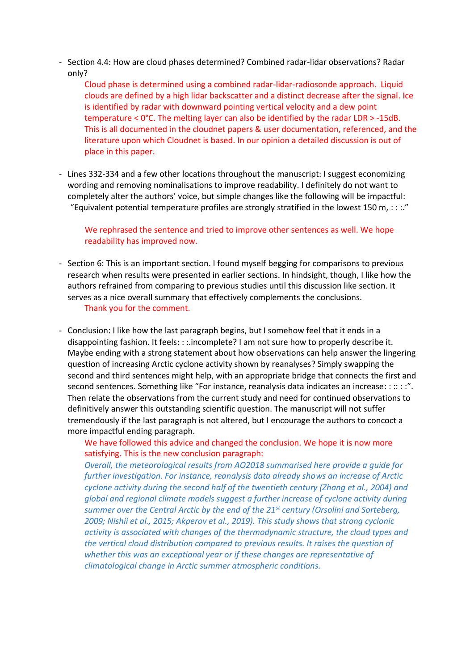- Section 4.4: How are cloud phases determined? Combined radar-lidar observations? Radar only?

Cloud phase is determined using a combined radar-lidar-radiosonde approach. Liquid clouds are defined by a high lidar backscatter and a distinct decrease after the signal. Ice is identified by radar with downward pointing vertical velocity and a dew point temperature < 0°C. The melting layer can also be identified by the radar LDR > -15dB. This is all documented in the cloudnet papers & user documentation, referenced, and the literature upon which Cloudnet is based. In our opinion a detailed discussion is out of place in this paper.

- Lines 332-334 and a few other locations throughout the manuscript: I suggest economizing wording and removing nominalisations to improve readability. I definitely do not want to completely alter the authors' voice, but simple changes like the following will be impactful: "Equivalent potential temperature profiles are strongly stratified in the lowest 150 m,  $::::"$ 

We rephrased the sentence and tried to improve other sentences as well. We hope readability has improved now.

- Section 6: This is an important section. I found myself begging for comparisons to previous research when results were presented in earlier sections. In hindsight, though, I like how the authors refrained from comparing to previous studies until this discussion like section. It serves as a nice overall summary that effectively complements the conclusions. Thank you for the comment.
- Conclusion: I like how the last paragraph begins, but I somehow feel that it ends in a disappointing fashion. It feels: : :.incomplete? I am not sure how to properly describe it. Maybe ending with a strong statement about how observations can help answer the lingering question of increasing Arctic cyclone activity shown by reanalyses? Simply swapping the second and third sentences might help, with an appropriate bridge that connects the first and second sentences. Something like "For instance, reanalysis data indicates an increase: : :: : :". Then relate the observations from the current study and need for continued observations to definitively answer this outstanding scientific question. The manuscript will not suffer tremendously if the last paragraph is not altered, but I encourage the authors to concoct a more impactful ending paragraph.

We have followed this advice and changed the conclusion. We hope it is now more satisfying. This is the new conclusion paragraph:

*Overall, the meteorological results from AO2018 summarised here provide a guide for further investigation. For instance, reanalysis data already shows an increase of Arctic cyclone activity during the second half of the twentieth century (Zhang et al., 2004) and global and regional climate models suggest a further increase of cyclone activity during summer over the Central Arctic by the end of the 21st century (Orsolini and Sorteberg, 2009; Nishii et al., 2015; Akperov et al., 2019). This study shows that strong cyclonic activity is associated with changes of the thermodynamic structure, the cloud types and the vertical cloud distribution compared to previous results. It raises the question of whether this was an exceptional year or if these changes are representative of climatological change in Arctic summer atmospheric conditions.*